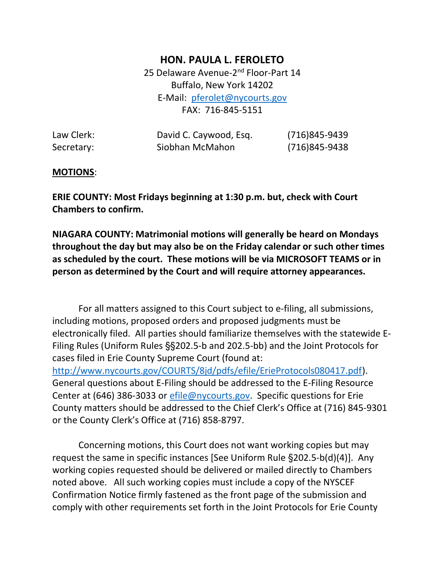## HON. PAULA L. FEROLETO

25 Delaware Avenue-2<sup>nd</sup> Floor-Part 14 Buffalo, New York 14202 E-Mail: pferolet@nycourts.gov FAX: 716-845-5151

| Law Clerk: | David C. Caywood, Esq. | (716)845-9439 |
|------------|------------------------|---------------|
| Secretary: | Siobhan McMahon        | (716)845-9438 |

#### MOTIONS:

ERIE COUNTY: Most Fridays beginning at 1:30 p.m. but, check with Court Chambers to confirm.

NIAGARA COUNTY: Matrimonial motions will generally be heard on Mondays throughout the day but may also be on the Friday calendar or such other times as scheduled by the court. These motions will be via MICROSOFT TEAMS or in person as determined by the Court and will require attorney appearances.

For all matters assigned to this Court subject to e-filing, all submissions, including motions, proposed orders and proposed judgments must be electronically filed. All parties should familiarize themselves with the statewide E-Filing Rules (Uniform Rules §§202.5-b and 202.5-bb) and the Joint Protocols for cases filed in Erie County Supreme Court (found at: http://www.nycourts.gov/COURTS/8jd/pdfs/efile/ErieProtocols080417.pdf). General questions about E-Filing should be addressed to the E-Filing Resource Center at (646) 386-3033 or efile@nycourts.gov. Specific questions for Erie County matters should be addressed to the Chief Clerk's Office at (716) 845-9301

 Concerning motions, this Court does not want working copies but may request the same in specific instances [See Uniform Rule §202.5-b(d)(4)]. Any working copies requested should be delivered or mailed directly to Chambers noted above. All such working copies must include a copy of the NYSCEF Confirmation Notice firmly fastened as the front page of the submission and comply with other requirements set forth in the Joint Protocols for Erie County

or the County Clerk's Office at (716) 858-8797.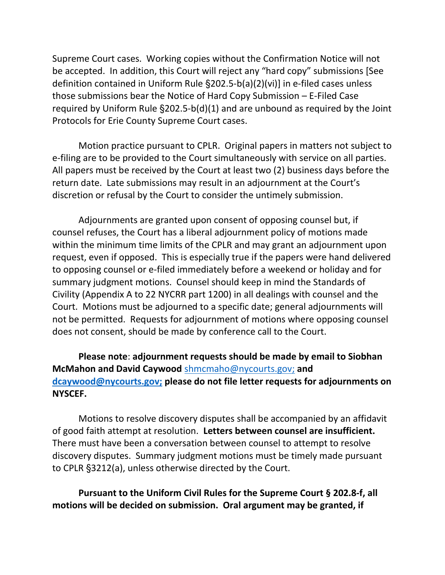Supreme Court cases. Working copies without the Confirmation Notice will not be accepted. In addition, this Court will reject any "hard copy" submissions [See definition contained in Uniform Rule §202.5-b(a)(2)(vi)] in e-filed cases unless those submissions bear the Notice of Hard Copy Submission – E-Filed Case required by Uniform Rule §202.5-b(d)(1) and are unbound as required by the Joint Protocols for Erie County Supreme Court cases.

 Motion practice pursuant to CPLR. Original papers in matters not subject to e-filing are to be provided to the Court simultaneously with service on all parties. All papers must be received by the Court at least two (2) business days before the return date. Late submissions may result in an adjournment at the Court's discretion or refusal by the Court to consider the untimely submission.

 Adjournments are granted upon consent of opposing counsel but, if counsel refuses, the Court has a liberal adjournment policy of motions made within the minimum time limits of the CPLR and may grant an adjournment upon request, even if opposed. This is especially true if the papers were hand delivered to opposing counsel or e-filed immediately before a weekend or holiday and for summary judgment motions. Counsel should keep in mind the Standards of Civility (Appendix A to 22 NYCRR part 1200) in all dealings with counsel and the Court. Motions must be adjourned to a specific date; general adjournments will not be permitted. Requests for adjournment of motions where opposing counsel does not consent, should be made by conference call to the Court.

# Please note: adjournment requests should be made by email to Siobhan McMahon and David Caywood shmcmaho@nycourts.gov; and dcaywood@nycourts.gov; please do not file letter requests for adjournments on NYSCEF.

 Motions to resolve discovery disputes shall be accompanied by an affidavit of good faith attempt at resolution. Letters between counsel are insufficient. There must have been a conversation between counsel to attempt to resolve discovery disputes. Summary judgment motions must be timely made pursuant to CPLR §3212(a), unless otherwise directed by the Court.

Pursuant to the Uniform Civil Rules for the Supreme Court § 202.8-f, all motions will be decided on submission. Oral argument may be granted, if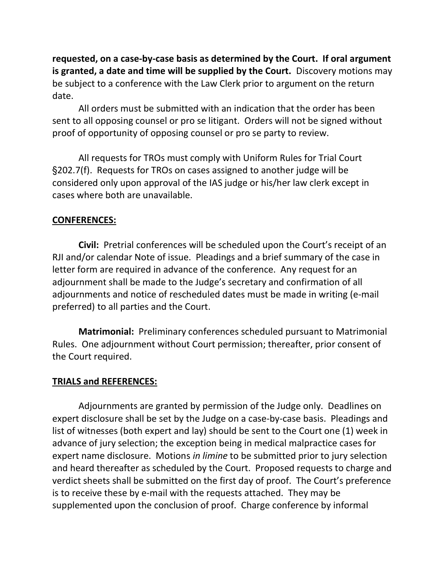requested, on a case-by-case basis as determined by the Court. If oral argument is granted, a date and time will be supplied by the Court. Discovery motions may be subject to a conference with the Law Clerk prior to argument on the return date.

 All orders must be submitted with an indication that the order has been sent to all opposing counsel or pro se litigant. Orders will not be signed without proof of opportunity of opposing counsel or pro se party to review.

 All requests for TROs must comply with Uniform Rules for Trial Court §202.7(f). Requests for TROs on cases assigned to another judge will be considered only upon approval of the IAS judge or his/her law clerk except in cases where both are unavailable.

### CONFERENCES:

Civil: Pretrial conferences will be scheduled upon the Court's receipt of an RJI and/or calendar Note of issue. Pleadings and a brief summary of the case in letter form are required in advance of the conference. Any request for an adjournment shall be made to the Judge's secretary and confirmation of all adjournments and notice of rescheduled dates must be made in writing (e-mail preferred) to all parties and the Court.

Matrimonial: Preliminary conferences scheduled pursuant to Matrimonial Rules. One adjournment without Court permission; thereafter, prior consent of the Court required.

#### TRIALS and REFERENCES:

 Adjournments are granted by permission of the Judge only. Deadlines on expert disclosure shall be set by the Judge on a case-by-case basis. Pleadings and list of witnesses (both expert and lay) should be sent to the Court one (1) week in advance of jury selection; the exception being in medical malpractice cases for expert name disclosure. Motions in limine to be submitted prior to jury selection and heard thereafter as scheduled by the Court. Proposed requests to charge and verdict sheets shall be submitted on the first day of proof. The Court's preference is to receive these by e-mail with the requests attached. They may be supplemented upon the conclusion of proof. Charge conference by informal